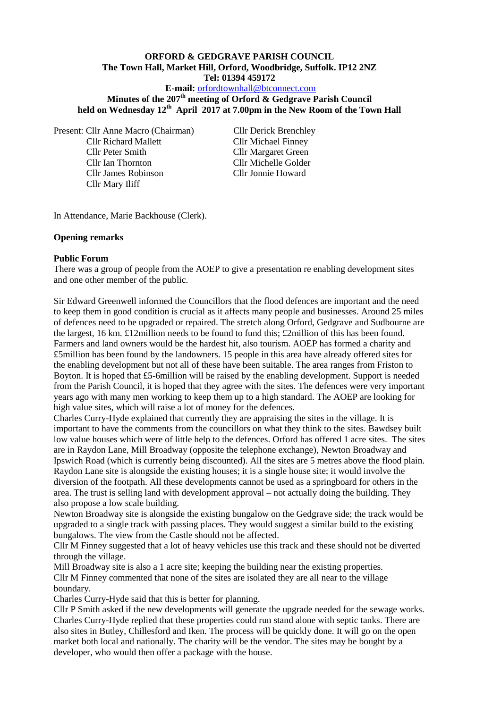### **ORFORD & GEDGRAVE PARISH COUNCIL The Town Hall, Market Hill, Orford, Woodbridge, Suffolk. IP12 2NZ Tel: 01394 459172**

### **E-mail:** [orfordtownhall@btconnect.com](mailto:orfordtownhall@btconnect.com)

# **Minutes of the 207th meeting of Orford & Gedgrave Parish Council held on Wednesday 12th April 2017 at 7.00pm in the New Room of the Town Hall**

Present: Cllr Anne Macro (Chairman) Cllr Derick Brenchley Cllr Richard Mallett Cllr Michael Finney Cllr Peter Smith Cllr Margaret Green Cllr Ian Thornton Cllr Michelle Golder Cllr James Robinson Cllr Jonnie Howard Cllr Mary Iliff

In Attendance, Marie Backhouse (Clerk).

#### **Opening remarks**

#### **Public Forum**

There was a group of people from the AOEP to give a presentation re enabling development sites and one other member of the public.

Sir Edward Greenwell informed the Councillors that the flood defences are important and the need to keep them in good condition is crucial as it affects many people and businesses. Around 25 miles of defences need to be upgraded or repaired. The stretch along Orford, Gedgrave and Sudbourne are the largest, 16 km. £12million needs to be found to fund this; £2million of this has been found. Farmers and land owners would be the hardest hit, also tourism. AOEP has formed a charity and £5million has been found by the landowners. 15 people in this area have already offered sites for the enabling development but not all of these have been suitable. The area ranges from Friston to Boyton. It is hoped that £5-6million will be raised by the enabling development. Support is needed from the Parish Council, it is hoped that they agree with the sites. The defences were very important years ago with many men working to keep them up to a high standard. The AOEP are looking for high value sites, which will raise a lot of money for the defences.

Charles Curry-Hyde explained that currently they are appraising the sites in the village. It is important to have the comments from the councillors on what they think to the sites. Bawdsey built low value houses which were of little help to the defences. Orford has offered 1 acre sites. The sites are in Raydon Lane, Mill Broadway (opposite the telephone exchange), Newton Broadway and Ipswich Road (which is currently being discounted). All the sites are 5 metres above the flood plain. Raydon Lane site is alongside the existing houses; it is a single house site; it would involve the diversion of the footpath. All these developments cannot be used as a springboard for others in the area. The trust is selling land with development approval – not actually doing the building. They also propose a low scale building.

Newton Broadway site is alongside the existing bungalow on the Gedgrave side; the track would be upgraded to a single track with passing places. They would suggest a similar build to the existing bungalows. The view from the Castle should not be affected.

Cllr M Finney suggested that a lot of heavy vehicles use this track and these should not be diverted through the village.

Mill Broadway site is also a 1 acre site; keeping the building near the existing properties. Cllr M Finney commented that none of the sites are isolated they are all near to the village boundary.

Charles Curry-Hyde said that this is better for planning.

Cllr P Smith asked if the new developments will generate the upgrade needed for the sewage works. Charles Curry-Hyde replied that these properties could run stand alone with septic tanks. There are also sites in Butley, Chillesford and Iken. The process will be quickly done. It will go on the open market both local and nationally. The charity will be the vendor. The sites may be bought by a developer, who would then offer a package with the house.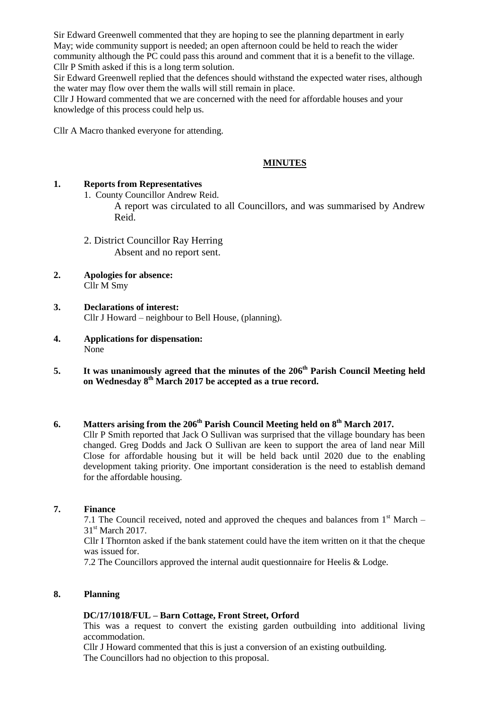Sir Edward Greenwell commented that they are hoping to see the planning department in early May; wide community support is needed; an open afternoon could be held to reach the wider community although the PC could pass this around and comment that it is a benefit to the village. Cllr P Smith asked if this is a long term solution.

Sir Edward Greenwell replied that the defences should withstand the expected water rises, although the water may flow over them the walls will still remain in place.

Cllr J Howard commented that we are concerned with the need for affordable houses and your knowledge of this process could help us.

Cllr A Macro thanked everyone for attending.

### **MINUTES**

#### **1. Reports from Representatives**

1. County Councillor Andrew Reid.

A report was circulated to all Councillors, and was summarised by Andrew Reid.

- 2. District Councillor Ray Herring Absent and no report sent.
- **2. Apologies for absence:** Cllr M Smy
- **3. Declarations of interest:** Cllr J Howard – neighbour to Bell House, (planning).
- **4. Applications for dispensation:** None
- **5. It was unanimously agreed that the minutes of the 206th Parish Council Meeting held on Wednesday 8th March 2017 be accepted as a true record.**

# **6. Matters arising from the 206th Parish Council Meeting held on 8th March 2017.**

Cllr P Smith reported that Jack O Sullivan was surprised that the village boundary has been changed. Greg Dodds and Jack O Sullivan are keen to support the area of land near Mill Close for affordable housing but it will be held back until 2020 due to the enabling development taking priority. One important consideration is the need to establish demand for the affordable housing.

#### **7. Finance**

7.1 The Council received, noted and approved the cheques and balances from  $1<sup>st</sup>$  March – 31<sup>st</sup> March 2017.

Cllr I Thornton asked if the bank statement could have the item written on it that the cheque was issued for.

7.2 The Councillors approved the internal audit questionnaire for Heelis & Lodge.

#### **8. Planning**

#### **DC/17/1018/FUL – Barn Cottage, Front Street, Orford**

This was a request to convert the existing garden outbuilding into additional living accommodation.

Cllr J Howard commented that this is just a conversion of an existing outbuilding. The Councillors had no objection to this proposal.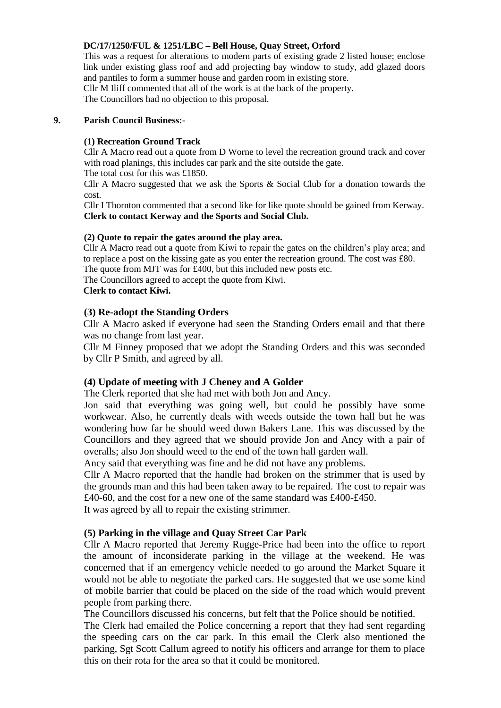## **DC/17/1250/FUL & 1251/LBC – Bell House, Quay Street, Orford**

This was a request for alterations to modern parts of existing grade 2 listed house; enclose link under existing glass roof and add projecting bay window to study, add glazed doors and pantiles to form a summer house and garden room in existing store.

Cllr M Iliff commented that all of the work is at the back of the property. The Councillors had no objection to this proposal.

#### **9. Parish Council Business:-**

#### **(1) Recreation Ground Track**

Cllr A Macro read out a quote from D Worne to level the recreation ground track and cover with road planings, this includes car park and the site outside the gate.

The total cost for this was £1850.

Cllr A Macro suggested that we ask the Sports  $\&$  Social Club for a donation towards the cost.

Cllr I Thornton commented that a second like for like quote should be gained from Kerway. **Clerk to contact Kerway and the Sports and Social Club.**

#### **(2) Quote to repair the gates around the play area.**

Cllr A Macro read out a quote from Kiwi to repair the gates on the children's play area; and to replace a post on the kissing gate as you enter the recreation ground. The cost was £80. The quote from MJT was for £400, but this included new posts etc.

The Councillors agreed to accept the quote from Kiwi.

**Clerk to contact Kiwi.**

## **(3) Re-adopt the Standing Orders**

Cllr A Macro asked if everyone had seen the Standing Orders email and that there was no change from last year.

Cllr M Finney proposed that we adopt the Standing Orders and this was seconded by Cllr P Smith, and agreed by all.

# **(4) Update of meeting with J Cheney and A Golder**

The Clerk reported that she had met with both Jon and Ancy.

Jon said that everything was going well, but could he possibly have some workwear. Also, he currently deals with weeds outside the town hall but he was wondering how far he should weed down Bakers Lane. This was discussed by the Councillors and they agreed that we should provide Jon and Ancy with a pair of overalls; also Jon should weed to the end of the town hall garden wall.

Ancy said that everything was fine and he did not have any problems.

Cllr A Macro reported that the handle had broken on the strimmer that is used by the grounds man and this had been taken away to be repaired. The cost to repair was £40-60, and the cost for a new one of the same standard was £400-£450.

It was agreed by all to repair the existing strimmer.

# **(5) Parking in the village and Quay Street Car Park**

Cllr A Macro reported that Jeremy Rugge-Price had been into the office to report the amount of inconsiderate parking in the village at the weekend. He was concerned that if an emergency vehicle needed to go around the Market Square it would not be able to negotiate the parked cars. He suggested that we use some kind of mobile barrier that could be placed on the side of the road which would prevent people from parking there.

The Councillors discussed his concerns, but felt that the Police should be notified.

The Clerk had emailed the Police concerning a report that they had sent regarding the speeding cars on the car park. In this email the Clerk also mentioned the parking, Sgt Scott Callum agreed to notify his officers and arrange for them to place this on their rota for the area so that it could be monitored.